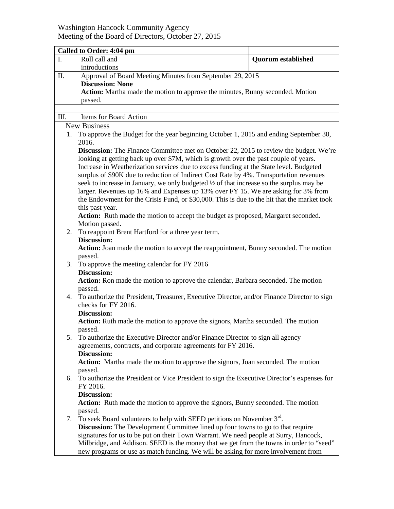## Washington Hancock Community Agency Meeting of the Board of Directors, October 27, 2015

| Roll call and<br>I.<br><b>Quorum established</b>                                                          |                                                                                             |  |  |  |
|-----------------------------------------------------------------------------------------------------------|---------------------------------------------------------------------------------------------|--|--|--|
| introductions                                                                                             |                                                                                             |  |  |  |
| Approval of Board Meeting Minutes from September 29, 2015<br>П.                                           |                                                                                             |  |  |  |
| <b>Discussion: None</b>                                                                                   |                                                                                             |  |  |  |
|                                                                                                           | <b>Action:</b> Martha made the motion to approve the minutes, Bunny seconded. Motion        |  |  |  |
| passed.                                                                                                   |                                                                                             |  |  |  |
|                                                                                                           |                                                                                             |  |  |  |
| Items for Board Action<br>III.                                                                            |                                                                                             |  |  |  |
| <b>New Business</b>                                                                                       |                                                                                             |  |  |  |
| To approve the Budget for the year beginning October 1, 2015 and ending September 30,<br>1.               |                                                                                             |  |  |  |
| 2016.                                                                                                     |                                                                                             |  |  |  |
| <b>Discussion:</b> The Finance Committee met on October 22, 2015 to review the budget. We're              |                                                                                             |  |  |  |
|                                                                                                           | looking at getting back up over \$7M, which is growth over the past couple of years.        |  |  |  |
|                                                                                                           | Increase in Weatherization services due to excess funding at the State level. Budgeted      |  |  |  |
| surplus of \$90K due to reduction of Indirect Cost Rate by 4%. Transportation revenues                    |                                                                                             |  |  |  |
|                                                                                                           | seek to increase in January, we only budgeted 1/2 of that increase so the surplus may be    |  |  |  |
|                                                                                                           | larger. Revenues up 16% and Expenses up 13% over FY 15. We are asking for 3% from           |  |  |  |
|                                                                                                           | the Endowment for the Crisis Fund, or \$30,000. This is due to the hit that the market took |  |  |  |
| this past year.                                                                                           |                                                                                             |  |  |  |
| Action: Ruth made the motion to accept the budget as proposed, Margaret seconded.                         |                                                                                             |  |  |  |
| Motion passed.                                                                                            |                                                                                             |  |  |  |
| To reappoint Brent Hartford for a three year term.<br>2.                                                  |                                                                                             |  |  |  |
| <b>Discussion:</b>                                                                                        |                                                                                             |  |  |  |
| Action: Joan made the motion to accept the reappointment, Bunny seconded. The motion                      |                                                                                             |  |  |  |
| passed.                                                                                                   |                                                                                             |  |  |  |
| To approve the meeting calendar for FY 2016<br>3.                                                         |                                                                                             |  |  |  |
| <b>Discussion:</b>                                                                                        |                                                                                             |  |  |  |
| Action: Ron made the motion to approve the calendar, Barbara seconded. The motion                         |                                                                                             |  |  |  |
| passed.                                                                                                   |                                                                                             |  |  |  |
| 4. To authorize the President, Treasurer, Executive Director, and/or Finance Director to sign             |                                                                                             |  |  |  |
| checks for FY 2016.                                                                                       |                                                                                             |  |  |  |
| <b>Discussion:</b>                                                                                        |                                                                                             |  |  |  |
| Action: Ruth made the motion to approve the signors, Martha seconded. The motion                          |                                                                                             |  |  |  |
| passed.                                                                                                   |                                                                                             |  |  |  |
| To authorize the Executive Director and/or Finance Director to sign all agency<br>5.                      |                                                                                             |  |  |  |
| agreements, contracts, and corporate agreements for FY 2016.                                              |                                                                                             |  |  |  |
| <b>Discussion:</b>                                                                                        |                                                                                             |  |  |  |
| Action: Martha made the motion to approve the signors, Joan seconded. The motion                          |                                                                                             |  |  |  |
| passed.                                                                                                   |                                                                                             |  |  |  |
| 6. To authorize the President or Vice President to sign the Executive Director's expenses for<br>FY 2016. |                                                                                             |  |  |  |
| <b>Discussion:</b>                                                                                        |                                                                                             |  |  |  |
| Action: Ruth made the motion to approve the signors, Bunny seconded. The motion                           |                                                                                             |  |  |  |
| passed.                                                                                                   |                                                                                             |  |  |  |
| To seek Board volunteers to help with SEED petitions on November 3rd.<br>7.                               |                                                                                             |  |  |  |
| Discussion: The Development Committee lined up four towns to go to that require                           |                                                                                             |  |  |  |
|                                                                                                           | signatures for us to be put on their Town Warrant. We need people at Surry, Hancock,        |  |  |  |
| Milbridge, and Addison. SEED is the money that we get from the towns in order to "seed"                   |                                                                                             |  |  |  |
| new programs or use as match funding. We will be asking for more involvement from                         |                                                                                             |  |  |  |